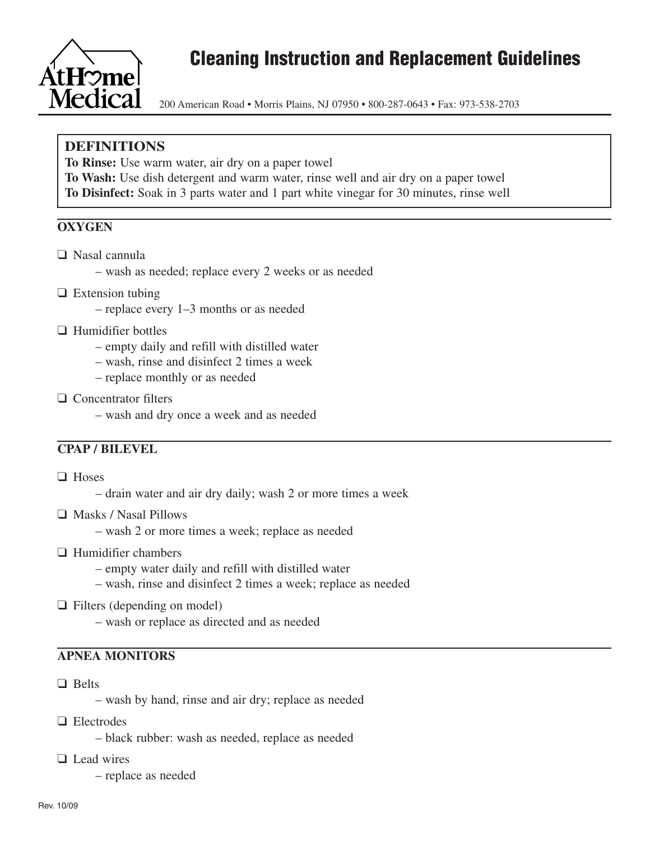

# **Cleaning Instruction and Replacement Guidelines**

200 American Road • Morris Plains, NJ 07950 • 800-287-0643 • Fax: 973-538-2703

# **DEFINITIONS**

**To Rinse:** Use warm water, air dry on a paper towel

**To Wash:** Use dish detergent and warm water, rinse well and air dry on a paper towel **To Disinfect:** Soak in 3 parts water and 1 part white vinegar for 30 minutes, rinse well

## **OXYGEN**

- ❑ Nasal cannula
	- wash as needed; replace every 2 weeks or as needed
- ❑ Extension tubing
	- replace every 1–3 months or as needed
- ❑ Humidifier bottles
	- empty daily and refill with distilled water
	- wash, rinse and disinfect 2 times a week
	- replace monthly or as needed
- ❑ Concentrator filters
	- wash and dry once a week and as needed

#### **CPAP / BILEVEL**

- ❑ Hoses
	- drain water and air dry daily; wash 2 or more times a week
- ❑ Masks / Nasal Pillows
	- wash 2 or more times a week; replace as needed
- ❑ Humidifier chambers
	- empty water daily and refill with distilled water
	- wash, rinse and disinfect 2 times a week; replace as needed
- ❑ Filters (depending on model)
	- wash or replace as directed and as needed

# **APNEA MONITORS**

- ❑ Belts
	- wash by hand, rinse and air dry; replace as needed
- ❑ Electrodes
	- black rubber: wash as needed, replace as needed
- ❑ Lead wires
	- replace as needed